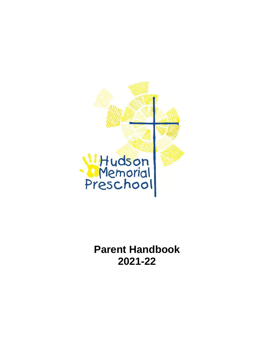

**Parent Handbook 2021-22**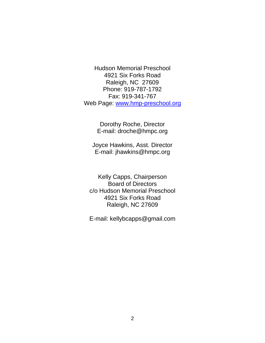Hudson Memorial Preschool 4921 Six Forks Road Raleigh, NC 27609 Phone: 919-787-1792 Fax: 919-341-767 Web Page: [www.hmp-preschool.org](http://www.hmp-preschool.org/)

> Dorothy Roche, Director E-mail: droche@hmpc.org

Joyce Hawkins, Asst. Director E-mail: jhawkins@hmpc.org

Kelly Capps, Chairperson Board of Directors c/o Hudson Memorial Preschool 4921 Six Forks Road Raleigh, NC 27609

E-mail: kellybcapps@gmail.com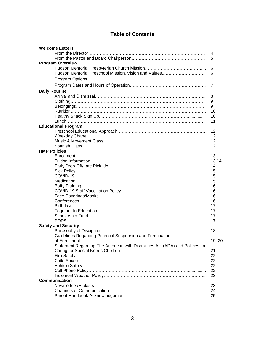## **Table of Contents**

| <b>Welcome Letters</b>                                                        |                |
|-------------------------------------------------------------------------------|----------------|
|                                                                               | 4              |
|                                                                               | 5              |
| <b>Program Overview</b>                                                       |                |
|                                                                               | 6              |
| Hudson Memorial Preschool Mission, Vision and Values                          | 6              |
|                                                                               | $\overline{7}$ |
|                                                                               | 7              |
| <b>Daily Routine</b>                                                          |                |
|                                                                               | 8              |
|                                                                               | 9              |
|                                                                               | 9              |
|                                                                               | 10             |
|                                                                               | 10             |
|                                                                               | 11             |
| <b>Educational Program</b>                                                    |                |
|                                                                               | 12             |
|                                                                               | 12             |
|                                                                               | 12             |
|                                                                               | 12             |
| <b>HMP Policies</b>                                                           |                |
|                                                                               | 13             |
|                                                                               | 13,14          |
|                                                                               | 14             |
|                                                                               | 15             |
|                                                                               | 15             |
|                                                                               | 15             |
|                                                                               | 16             |
|                                                                               | 16             |
|                                                                               | 16             |
|                                                                               | 16             |
|                                                                               | 17             |
|                                                                               | 17             |
|                                                                               | 17             |
|                                                                               | 17             |
| <b>Safety and Security</b>                                                    |                |
|                                                                               | 18             |
| Guidelines Regarding Potential Suspension and Termination                     |                |
|                                                                               | 19, 20         |
| Statement Regarding The American with Disabilities Act (ADA) and Policies for |                |
|                                                                               | 21             |
|                                                                               | 22             |
|                                                                               | 22             |
|                                                                               | 22             |
|                                                                               | 22             |
| <b>Communication</b>                                                          | 23             |
|                                                                               |                |
|                                                                               | 23<br>24       |
|                                                                               | 25             |
|                                                                               |                |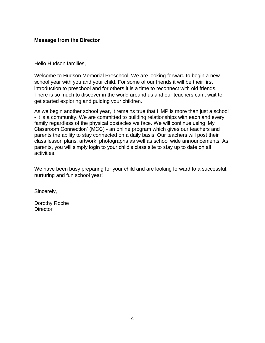### **Message from the Director**

Hello Hudson families,

Welcome to Hudson Memorial Preschool! We are looking forward to begin a new school year with you and your child. For some of our friends it will be their first introduction to preschool and for others it is a time to reconnect with old friends. There is so much to discover in the world around us and our teachers can't wait to get started exploring and guiding your children.

As we begin another school year, it remains true that HMP is more than just a school - it is a community. We are committed to building relationships with each and every family regardless of the physical obstacles we face. We will continue using 'My Classroom Connection' (MCC) - an online program which gives our teachers and parents the ability to stay connected on a daily basis. Our teachers will post their class lesson plans, artwork, photographs as well as school wide announcements. As parents, you will simply login to your child's class site to stay up to date on all activities.

We have been busy preparing for your child and are looking forward to a successful, nurturing and fun school year!

Sincerely,

Dorothy Roche **Director**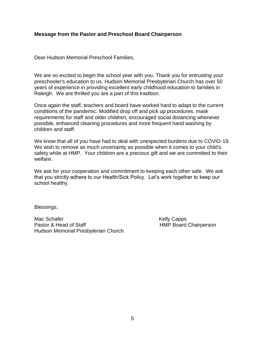#### **Message from the Pastor and Preschool Board Chairperson**

Dear Hudson Memorial Preschool Families,

We are so excited to begin the school year with you. Thank you for entrusting your preschooler's education to us. Hudson Memorial Presbyterian Church has over 50 years of experience in providing excellent early childhood education to families in Raleigh. We are thrilled you are a part of this tradition.

Once again the staff, teachers and board have worked hard to adapt to the current conditions of the pandemic: Modified drop off and pick up procedures, mask requirements for staff and older children, encouraged social distancing whenever possible, enhanced cleaning procedures and more frequent hand washing by children and staff.

We know that all of you have had to deal with unexpected burdens due to COVID-19. We wish to remove as much uncertainty as possible when it comes to your child's safety while at HMP. Your children are a precious gift and we are committed to their welfare.

We ask for your cooperation and commitment to keeping each other safe. We ask that you strictly adhere to our Health/Sick Policy. Let's work together to keep our school healthy.

Blessings,

Mac Schafer **Kelly Capps** Kelly Capps Pastor & Head of Staff **HMP** Board Chairperson Hudson Memorial Presbyterian Church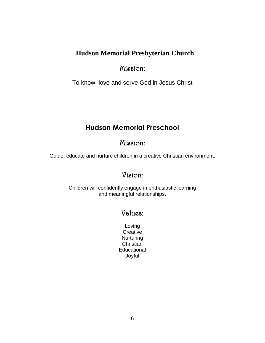## **Hudson Memorial Presbyterian Church**

## Mission:

To know, love and serve God in Jesus Christ

# **Hudson Memorial Preschool**

## Mission:

Guide, educate and nurture children in a creative Christian environment.

## Vision:

Children will confidently engage in enthusiastic learning and meaningful relationships.

# Values:

Loving **Creative Nurturing Christian Educational** Joyful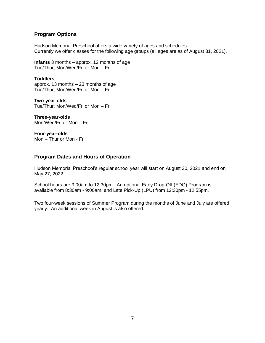#### **Program Options**

Hudson Memorial Preschool offers a wide variety of ages and schedules. Currently we offer classes for the following age groups (all ages are as of August 31, 2021).

**Infants** 3 months – approx. 12 months of age Tue/Thur, Mon/Wed/Fri or Mon – Fri

**Toddlers**  approx. 13 months – 23 months of age Tue/Thur, Mon/Wed/Fri or Mon – Fri

**Two-year-olds** Tue/Thur, Mon/Wed/Fri or Mon – Fri

**Three-year-olds** Mon/Wed/Fri or Mon – Fri

**Four-year-olds** Mon – Thur or Mon - Fri

## **Program Dates and Hours of Operation**

Hudson Memorial Preschool's regular school year will start on August 30, 2021 and end on May 27, 2022.

School hours are 9:00am to 12:30pm. An optional Early Drop-Off (EDO) Program is available from 8:30am - 9:00am. and Late Pick-Up (LPU) from 12:30pm - 12:55pm.

Two four-week sessions of Summer Program during the months of June and July are offered yearly. An additional week in August is also offered.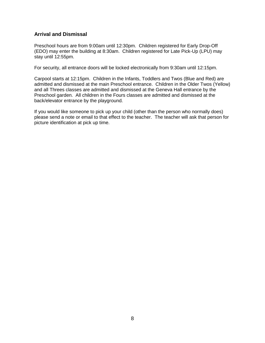## **Arrival and Dismissal**

Preschool hours are from 9:00am until 12:30pm. Children registered for Early Drop-Off (EDO) may enter the building at 8:30am. Children registered for Late Pick-Up (LPU) may stay until 12:55pm.

For security, all entrance doors will be locked electronically from 9:30am until 12:15pm.

Carpool starts at 12:15pm. Children in the Infants, Toddlers and Twos (Blue and Red) are admitted and dismissed at the main Preschool entrance. Children in the Older Twos (Yellow) and all Threes classes are admitted and dismissed at the Geneva Hall entrance by the Preschool garden. All children in the Fours classes are admitted and dismissed at the back/elevator entrance by the playground.

If you would like someone to pick up your child (other than the person who normally does) please send a note or email to that effect to the teacher. The teacher will ask that person for picture identification at pick up time.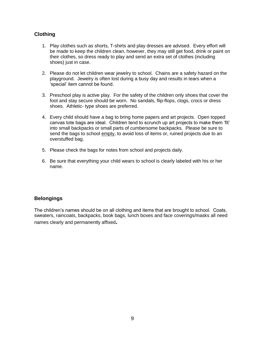## **Clothing**

- 1. Play clothes such as shorts, T-shirts and play dresses are advised. Every effort will be made to keep the children clean, however, they may still get food, drink or paint on their clothes, so dress ready to play and send an extra set of clothes (including shoes) just in case.
- 2. Please do not let children wear jewelry to school. Chains are a safety hazard on the playground. Jewelry is often lost during a busy day and results in tears when a 'special' item cannot be found.
- 3. Preschool play is active play. For the safety of the children only shoes that cover the foot and stay secure should be worn. No sandals, flip-flops, clogs, crocs or dress shoes. Athletic- type shoes are preferred.
- 4. Every child should have a bag to bring home papers and art projects. Open topped canvas tote bags are ideal. Children tend to scrunch up art projects to make them 'fit' into small backpacks or small parts of cumbersome backpacks. Please be sure to send the bags to school empty, to avoid loss of items or, ruined projects due to an overstuffed bag.
- 5. Please check the bags for notes from school and projects daily.
- 6. Be sure that everything your child wears to school is clearly labeled with his or her name.

#### **Belongings**

The children's names should be on all clothing and items that are brought to school. Coats, sweaters, raincoats, backpacks, book bags, lunch boxes and face coverings/masks all need names clearly and permanently affixed**.**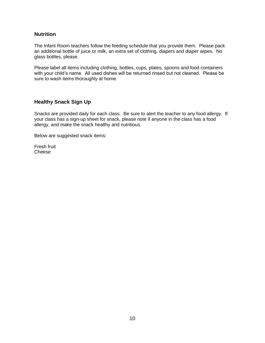#### **Nutrition**

The Infant Room teachers follow the feeding schedule that you provide them. Please pack an additional bottle of juice or milk, an extra set of clothing, diapers and diaper wipes. No glass bottles, please.

Please label all items including clothing, bottles, cups, plates, spoons and food containers with your child's name. All used dishes will be returned rinsed but not cleaned. Please be sure to wash items thoroughly at home.

#### **Healthy Snack Sign Up**

Snacks are provided daily for each class. Be sure to alert the teacher to any food allergy. If your class has a sign-up sheet for snack, please note if anyone in the class has a food allergy, and make the snack healthy and nutritious.

Below are suggested snack items:

Fresh fruit Cheese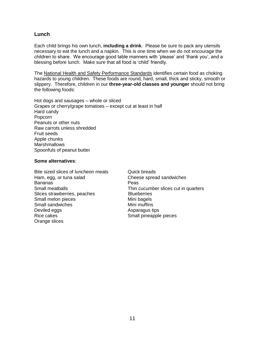#### **Lunch**

Each child brings his own lunch, **including a drink**. Please be sure to pack any utensils necessary to eat the lunch and a napkin. This is one time when we do not encourage the children to share. We encourage good table manners with 'please' and 'thank you', and a blessing before lunch. Make sure that all food is 'child' friendly.

The National Health and Safety Performance Standards identifies certain food as choking hazards to young children. These foods are round, hard, small, thick and sticky, smooth or slippery. Therefore, children in our **three-year-old classes and younger** should not bring the following foods:

Hot dogs and sausages – whole or sliced Grapes or cherry/grape tomatoes – except cut at least in half Hard candy Popcorn Peanuts or other nuts Raw carrots unless shredded Fruit seeds Apple chunks **Marshmallows** Spoonfuls of peanut butter

#### **Some alternatives**:

Bite sized slices of luncheon meats Quick breads Ham, egg, or tuna salad Cheese spread sandwiches Bananas **Peas** Slices strawberries, peaches Blueberries Small melon pieces Mini bagels Small sandwiches Mini muffins Deviled eggs **Asparagus** tips Rice cakes **Small pineapple pieces** Small pineapple pieces Orange slices

Small meatballs Thin cucumber slices cut in quarters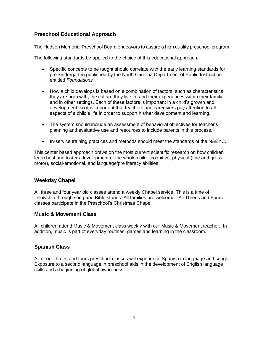## **Preschool Educational Approach**

The Hudson Memorial Preschool Board endeavors to assure a high quality preschool program.

The following standards be applied to the choice of this educational approach:

- Specific concepts to be taught should correlate with the early learning standards for pre-kindergarten published by the North Carolina Department of Public Instruction entitled *Foundations.*
- How a child develops is based on a combination of factors, such as characteristics they are born with, the culture they live in, and their experiences within their family and in other settings. Each of these factors is important in a child's growth and development, so it is important that teachers and caregivers pay attention to all aspects of a child's life in order to support his/her development and learning.
- The system should include an assessment of behavioral objectives for teacher's planning and evaluative use and resources to include parents in this process.
- In-service training practices and methods should meet the standards of the NAEYC.

This center based approach draws on the most current scientific research on how children learn best and fosters development of the whole child: cognitive, physical (fine and gross motor), social-emotional, and language/pre literacy abilities.

#### **Weekday Chapel**

All three and four year old classes attend a weekly Chapel service. This is a time of fellowship through song and Bible stories. All families are welcome. All Threes and Fours classes participate in the Preschool's Christmas Chapel.

#### **Music & Movement Class**

All children attend Music & Movement class weekly with our Music & Movement teacher. In addition, music is part of everyday routines, games and learning in the classroom.

#### **Spanish Class**

All of our threes and fours preschool classes will experience Spanish in language and songs. Exposure to a second language in preschool aids in the development of English language skills and a beginning of global awareness.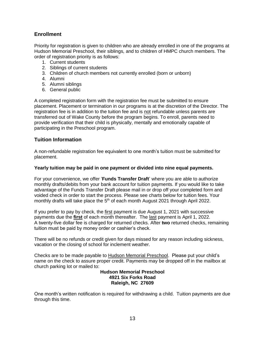## **Enrollment**

Priority for registration is given to children who are already enrolled in one of the programs at Hudson Memorial Preschool, their siblings, and to children of HMPC church members. The order of registration priority is as follows:

- 1. Current students
- 2. Siblings of current students
- 3. Children of church members not currently enrolled (born or unborn)
- 4. Alumni
- 5. Alumni siblings
- 6. General public

A completed registration form with the registration fee must be submitted to ensure placement. Placement or termination in our programs is at the discretion of the Director. The registration fee is in addition to the tuition fee and is not refundable unless parents are transferred out of Wake County before the program begins. To enroll, parents need to provide verification that their child is physically, mentally and emotionally capable of participating in the Preschool program.

#### **Tuition Information**

A non-refundable registration fee equivalent to one month's tuition must be submitted for placement.

#### **Yearly tuition may be paid in one payment or divided into nine equal payments.**

For your convenience, we offer '**Funds Transfer Draft**' where you are able to authorize monthly drafts/debits from your bank account for tuition payments. If you would like to take advantage of the Funds Transfer Draft please mail in or drop off your completed form and voided check in order to start the process. Please see charts below for tuition fees. Your monthly drafts will take place the 5<sup>th</sup> of each month August 2021 through April 2022.

If you prefer to pay by check, the first payment is due August 1, 2021 with successive payments due the **first** of each month thereafter. The last payment is April 1, 2022. A twenty-five dollar fee is charged for returned checks. After **two** returned checks, remaining tuition must be paid by money order or cashier's check.

There will be no refunds or credit given for days missed for any reason including sickness, vacation or the closing of school for inclement weather.

Checks are to be made payable to Hudson Memorial Preschool. Please put your child's name on the check to assure proper credit. Payments may be dropped off in the mailbox at church parking lot or mailed to:

#### **Hudson Memorial Preschool 4921 Six Forks Road Raleigh, NC 27609**

One month's written notification is required for withdrawing a child. Tuition payments are due through this time.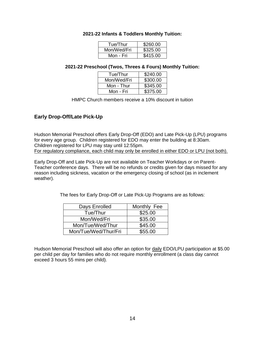#### **2021-22 Infants & Toddlers Monthly Tuition:**

| Tue/Thur    | \$260.00 |
|-------------|----------|
| Mon/Wed/Fri | \$325.00 |
| Mon - Fri   | \$415.00 |

#### **2021-22 Preschool (Twos, Threes & Fours) Monthly Tuition:**

| Tue/Thur    | \$240.00 |
|-------------|----------|
| Mon/Wed/Fri | \$300.00 |
| Mon - Thur  | \$345.00 |
| Mon - Fri   | \$375.00 |

HMPC Church members receive a 10% discount in tuition

## **Early Drop-Off/Late Pick-Up**

Hudson Memorial Preschool offers Early Drop-Off (EDO) and Late Pick-Up (LPU) programs for every age group. Children registered for EDO may enter the building at 8:30am. Children registered for LPU may stay until 12:55pm. For regulatory compliance, each child may only be enrolled in either EDO or LPU (not both).

Early Drop-Off and Late Pick-Up are not available on Teacher Workdays or on Parent-Teacher conference days. There will be no refunds or credits given for days missed for any reason including sickness, vacation or the emergency closing of school (as in inclement weather).

The fees for Early Drop-Off or Late Pick-Up Programs are as follows:

| Days Enrolled        | Monthly Fee |
|----------------------|-------------|
| Tue/Thur             | \$25.00     |
| Mon/Wed/Fri          | \$35.00     |
| Mon/Tue/Wed/Thur     | \$45.00     |
| Mon/Tue/Wed/Thur/Fri | \$55.00     |

Hudson Memorial Preschool will also offer an option for daily EDO/LPU participation at \$5.00 per child per day for families who do not require monthly enrollment (a class day cannot exceed 3 hours 55 mins per child).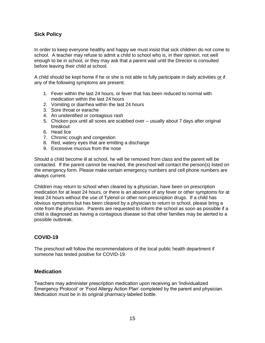## **Sick Policy**

In order to keep everyone healthy and happy we must insist that sick children do not come to school. A teacher may refuse to admit a child to school who is, in their opinion, not well enough to be in school, or they may ask that a parent wait until the Director is consulted before leaving their child at school.

A child should be kept home if he or she is not able to fully participate in daily activities or if any of the following symptoms are present:

- 1. Fever within the last 24 hours, or fever that has been reduced to normal with medication within the last 24 hours
- 2. Vomiting or diarrhea within the last 24 hours
- 3. Sore throat or earache
- 4. An unidentified or contagious rash
- 5. Chicken pox until all sores are scabbed over usually about 7 days after original breakout
- 6. Head lice
- 7. Chronic cough and congestion
- 8. Red, watery eyes that are emitting a discharge
- 9. Excessive mucous from the nose

Should a child become ill at school, he will be removed from class and the parent will be contacted. If the parent cannot be reached, the preschool will contact the person(s) listed on the emergency form. Please make certain emergency numbers and cell phone numbers are always current.

Children may return to school when cleared by a physician, have been on prescription medication for at least 24 hours, or there is an absence of any fever or other symptoms for at least 24 hours without the use of Tylenol or other non-prescription drugs. If a child has obvious symptoms but has been cleared by a physician to return to school, please bring a note from the physician. Parents are requested to inform the school as soon as possible if a child is diagnosed as having a contagious disease so that other families may be alerted to a possible outbreak.

#### **COVID-19**

The preschool will follow the recommendations of the local public health department if someone has tested positive for COVID-19.

#### **Medication**

Teachers may administer prescription medication upon receiving an 'Individualized Emergency Protocol' or 'Food Allergy Action Plan' completed by the parent and physician. Medication must be in its original pharmacy-labeled bottle.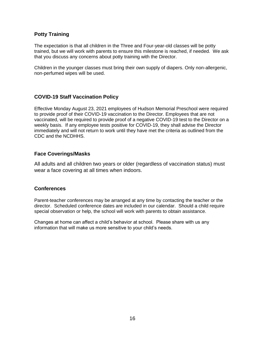#### **Potty Training**

The expectation is that all children in the Three and Four-year-old classes will be potty trained, but we will work with parents to ensure this milestone is reached, if needed. We ask that you discuss any concerns about potty training with the Director.

Children in the younger classes must bring their own supply of diapers. Only non-allergenic, non-perfumed wipes will be used.

## **COVID-19 Staff Vaccination Policy**

Effective Monday August 23, 2021 employees of Hudson Memorial Preschool were required to provide proof of their COVID-19 vaccination to the Director. Employees that are not vaccinated, will be required to provide proof of a negative COVID-19 test to the Director on a weekly basis. If any employee tests positive for COVID-19, they shall advise the Director immediately and will not return to work until they have met the criteria as outlined from the CDC and the NCDHHS.

## **Face Coverings/Masks**

All adults and all children two years or older (regardless of vaccination status) must wear a face covering at all times when indoors.

#### **Conferences**

Parent-teacher conferences may be arranged at any time by contacting the teacher or the director. Scheduled conference dates are included in our calendar. Should a child require special observation or help, the school will work with parents to obtain assistance.

Changes at home can affect a child's behavior at school. Please share with us any information that will make us more sensitive to your child's needs.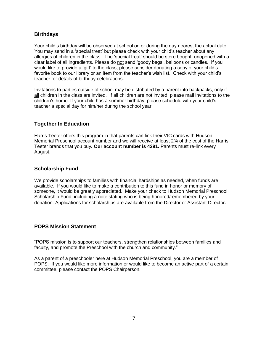## **Birthdays**

Your child's birthday will be observed at school on or during the day nearest the actual date. You may send in a 'special treat' but please check with your child's teacher about any allergies of children in the class. The 'special treat' should be store bought, unopened with a clear label of all ingredients. Please do not send 'goody bags', balloons or candles. If you would like to provide a 'gift' to the class, please consider donating a copy of your child's favorite book to our library or an item from the teacher's wish list. Check with your child's teacher for details of birthday celebrations.

Invitations to parties outside of school may be distributed by a parent into backpacks, only if all children in the class are invited. If all children are not invited, please mail invitations to the children's home. If your child has a summer birthday, please schedule with your child's teacher a special day for him/her during the school year.

#### **Together In Education**

Harris Teeter offers this program in that parents can link their VIC cards with Hudson Memorial Preschool account number and we will receive at least 2% of the cost of the Harris Teeter brands that you buy**. Our account number is 4291.** Parents must re-link every August.

## **Scholarship Fund**

We provide scholarships to families with financial hardships as needed, when funds are available. If you would like to make a contribution to this fund in honor or memory of someone, it would be greatly appreciated. Make your check to Hudson Memorial Preschool Scholarship Fund, including a note stating who is being honored/remembered by your donation. Applications for scholarships are available from the Director or Assistant Director.

#### **POPS Mission Statement**

"POPS mission is to support our teachers, strengthen relationships between families and faculty, and promote the Preschool with the church and community."

As a parent of a preschooler here at Hudson Memorial Preschool, you are a member of POPS. If you would like more information or would like to become an active part of a certain committee, please contact the POPS Chairperson.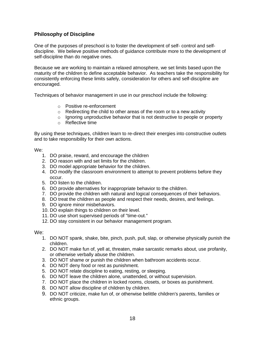## **Philosophy of Discipline**

One of the purposes of preschool is to foster the development of self- control and selfdiscipline. We believe positive methods of guidance contribute more to the development of self-discipline than do negative ones.

Because we are working to maintain a relaxed atmosphere, we set limits based upon the maturity of the children to define acceptable behavior. As teachers take the responsibility for consistently enforcing these limits safely, consideration for others and self-discipline are encouraged.

Techniques of behavior management in use in our preschool include the following:

- o Positive re-enforcement
- $\circ$  Redirecting the child to other areas of the room or to a new activity
- $\circ$  Ignoring unproductive behavior that is not destructive to people or property
- o Reflective time

By using these techniques, children learn to re-direct their energies into constructive outlets and to take responsibility for their own actions.

#### We:

- 1. DO praise, reward, and encourage the children
- 2. DO reason with and set limits for the children.
- 3. DO model appropriate behavior for the children.
- 4. DO modify the classroom environment to attempt to prevent problems before they occur.
- 5. DO listen to the children.
- 6. DO provide alternatives for inappropriate behavior to the children.
- 7. DO provide the children with natural and logical consequences of their behaviors.
- 8. DO treat the children as people and respect their needs, desires, and feelings.
- 9. DO ignore minor misbehaviors.
- 10. DO explain things to children on their level.
- 11. DO use short supervised periods of "time-out."
- 12. DO stay consistent in our behavior management program.

#### We:

- 1. DO NOT spank, shake, bite, pinch, push, pull, slap, or otherwise physically punish the children.
- 2. DO NOT make fun of, yell at, threaten, make sarcastic remarks about, use profanity, or otherwise verbally abuse the children.
- 3. DO NOT shame or punish the children when bathroom accidents occur.
- 4. DO NOT deny food or rest as punishment.
- 5. DO NOT relate discipline to eating, resting, or sleeping.
- 6. DO NOT leave the children alone, unattended, or without supervision.
- 7. DO NOT place the children in locked rooms, closets, or boxes as punishment.
- 8. DO NOT allow discipline of children by children.
- 9. DO NOT criticize, make fun of, or otherwise belittle children's parents, families or ethnic groups.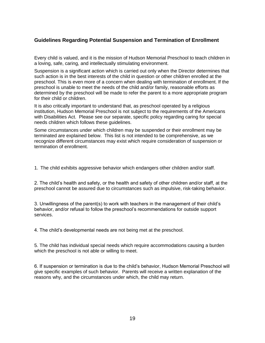## **Guidelines Regarding Potential Suspension and Termination of Enrollment**

Every child is valued, and it is the mission of Hudson Memorial Preschool to teach children in a loving, safe, caring, and intellectually stimulating environment.

Suspension is a significant action which is carried out only when the Director determines that such action is in the best interests of the child in question or other children enrolled at the preschool. This is even more of a concern when dealing with termination of enrollment. If the preschool is unable to meet the needs of the child and/or family, reasonable efforts as determined by the preschool will be made to refer the parent to a more appropriate program for their child or children.

It is also critically important to understand that, as preschool operated by a religious institution, Hudson Memorial Preschool is not subject to the requirements of the Americans with Disabilities Act. Please see our separate, specific policy regarding caring for special needs children which follows these guidelines.

Some circumstances under which children may be suspended or their enrollment may be terminated are explained below. This list is not intended to be comprehensive, as we recognize different circumstances may exist which require consideration of suspension or termination of enrollment.

1. The child exhibits aggressive behavior which endangers other children and/or staff.

2. The child's health and safety, or the health and safety of other children and/or staff, at the preschool cannot be assured due to circumstances such as impulsive, risk-taking behavior.

3. Unwillingness of the parent(s) to work with teachers in the management of their child's behavior, and/or refusal to follow the preschool's recommendations for outside support services.

4. The child's developmental needs are not being met at the preschool.

5. The child has individual special needs which require accommodations causing a burden which the preschool is not able or willing to meet.

6. If suspension or termination is due to the child's behavior, Hudson Memorial Preschool will give specific examples of such behavior. Parents will receive a written explanation of the reasons why, and the circumstances under which, the child may return.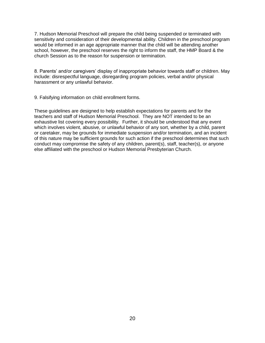7. Hudson Memorial Preschool will prepare the child being suspended or terminated with sensitivity and consideration of their developmental ability. Children in the preschool program would be informed in an age appropriate manner that the child will be attending another school, however, the preschool reserves the right to inform the staff, the HMP Board & the church Session as to the reason for suspension or termination.

8. Parents' and/or caregivers' display of inappropriate behavior towards staff or children. May include: disrespectful language, disregarding program policies, verbal and/or physical harassment or any unlawful behavior.

9. Falsifying information on child enrollment forms.

These guidelines are designed to help establish expectations for parents and for the teachers and staff of Hudson Memorial Preschool. They are NOT intended to be an exhaustive list covering every possibility. Further, it should be understood that any event which involves violent, abusive, or unlawful behavior of any sort, whether by a child, parent or caretaker, may be grounds for immediate suspension and/or termination, and an incident of this nature may be sufficient grounds for such action if the preschool determines that such conduct may compromise the safety of any children, parent(s), staff, teacher(s), or anyone else affiliated with the preschool or Hudson Memorial Presbyterian Church.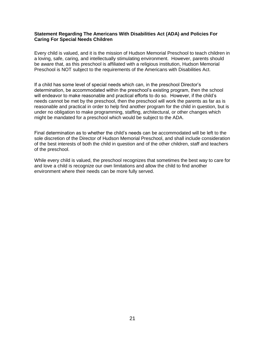#### **Statement Regarding The Americans With Disabilities Act (ADA) and Policies For Caring For Special Needs Children**

Every child is valued, and it is the mission of Hudson Memorial Preschool to teach children in a loving, safe, caring, and intellectually stimulating environment. However, parents should be aware that, as this preschool is affiliated with a religious institution, Hudson Memorial Preschool is NOT subject to the requirements of the Americans with Disabilities Act.

If a child has some level of special needs which can, in the preschool Director's determination, be accommodated within the preschool's existing program, then the school will endeavor to make reasonable and practical efforts to do so. However, if the child's needs cannot be met by the preschool, then the preschool will work the parents as far as is reasonable and practical in order to help find another program for the child in question, but is under no obligation to make programming, staffing, architectural, or other changes which might be mandated for a preschool which would be subject to the ADA.

Final determination as to whether the child's needs can be accommodated will be left to the sole discretion of the Director of Hudson Memorial Preschool, and shall include consideration of the best interests of both the child in question and of the other children, staff and teachers of the preschool.

While every child is valued, the preschool recognizes that sometimes the best way to care for and love a child is recognize our own limitations and allow the child to find another environment where their needs can be more fully served.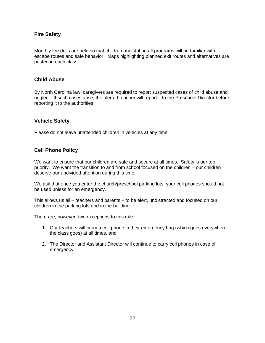### **Fire Safety**

Monthly fire drills are held so that children and staff in all programs will be familiar with escape routes and safe behavior. Maps highlighting planned exit routes and alternatives are posted in each class.

#### **Child Abuse**

By North Carolina law, caregivers are required to report suspected cases of child abuse and neglect. If such cases arise, the alerted teacher will report it to the Preschool Director before reporting it to the authorities.

#### **Vehicle Safety**

Please do not leave unattended children in vehicles at any time.

#### **Cell Phone Policy**

We want to ensure that our children are safe and secure at all times. Safety is our top priority. We want the transition to and from school focused on the children – our children deserve our undivided attention during this time.

We ask that once you enter the church/preschool parking lots, your cell phones should not be used unless for an emergency.

This allows us all – teachers and parents – to be alert, undistracted and focused on our children in the parking lots and in the building.

There are, however, two exceptions to this rule:

- 1. Our teachers will carry a cell phone in their emergency bag (which goes everywhere the class goes) at all times, and
- 2. The Director and Assistant Director will continue to carry cell phones in case of emergency.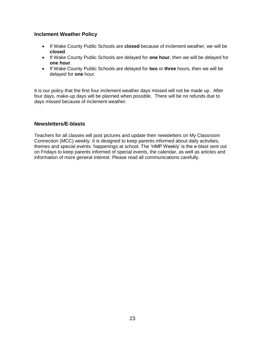#### **Inclement Weather Policy**

- If Wake County Public Schools are **closed** because of inclement weather, we will be **closed**.
- If Wake County Public Schools are delayed for **one hour**, then we will be delayed for **one hour**.
- If Wake County Public Schools are delayed for **two** or **three** hours, then we will be delayed for **one** hour.

It is our policy that the first four inclement weather days missed will not be made up. After four days, make-up days will be planned when possible. There will be no refunds due to days missed because of inclement weather.

#### **Newsletters/E-blasts**

Teachers for all classes will post pictures and update their newsletters on My Classroom Connection (MCC) weekly. It is designed to keep parents informed about daily activities, themes and special events. happenings at school. The 'HMP Weekly' is the e-blast sent out on Fridays to keep parents informed of special events, the calendar, as well as articles and information of more general interest. Please read all communications carefully.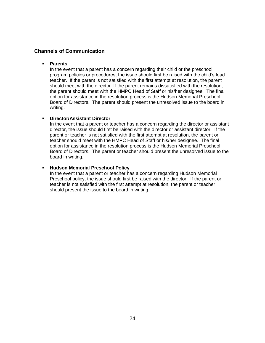#### **Channels of Communication**

#### **Parents**

In the event that a parent has a concern regarding their child or the preschool program policies or procedures, the issue should first be raised with the child's lead teacher. If the parent is not satisfied with the first attempt at resolution, the parent should meet with the director. If the parent remains dissatisfied with the resolution, the parent should meet with the HMPC Head of Staff or his/her designee. The final option for assistance in the resolution process is the Hudson Memorial Preschool Board of Directors. The parent should present the unresolved issue to the board in writing.

#### **Director/Assistant Director**

In the event that a parent or teacher has a concern regarding the director or assistant director, the issue should first be raised with the director or assistant director. If the parent or teacher is not satisfied with the first attempt at resolution, the parent or teacher should meet with the HMPC Head of Staff or his/her designee. The final option for assistance in the resolution process is the Hudson Memorial Preschool Board of Directors. The parent or teacher should present the unresolved issue to the board in writing.

#### **Hudson Memorial Preschool Policy**

In the event that a parent or teacher has a concern regarding Hudson Memorial Preschool policy, the issue should first be raised with the director. If the parent or teacher is not satisfied with the first attempt at resolution, the parent or teacher should present the issue to the board in writing.